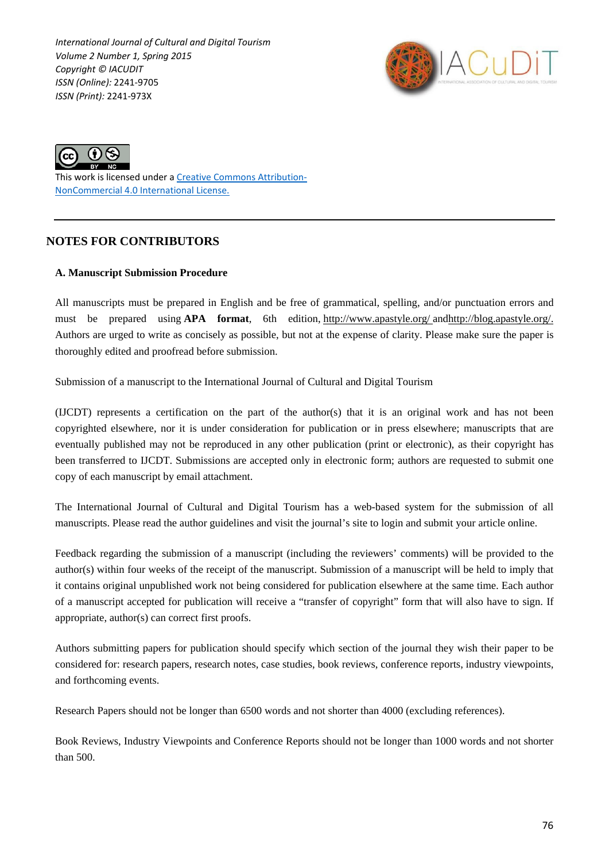*International Journal of Cultural and Digital Tourism Volume 2 Number 1, Spring 2015 Copyright © IACUDIT ISSN (Online):* 2241-9705 *ISSN (Print):* 2241-973X





This work is licensed under a [Creative Commons Attribution-](http://creativecommons.org/licenses/by-nc/4.0/)[NonCommercial 4.0 International License.](http://creativecommons.org/licenses/by-nc/4.0/)

# **NOTES FOR CONTRIBUTORS**

### **A. Manuscript Submission Procedure**

All manuscripts must be prepared in English and be free of grammatical, spelling, and/or punctuation errors and must be prepared using **APA format**, 6th edition, <http://www.apastyle.org/> an[dhttp://blog.apastyle.org/.](http://blog.apastyle.org/) Authors are urged to write as concisely as possible, but not at the expense of clarity. Please make sure the paper is thoroughly edited and proofread before submission.

Submission of a manuscript to the International Journal of Cultural and Digital Tourism

(IJCDT) represents a certification on the part of the author(s) that it is an original work and has not been copyrighted elsewhere, nor it is under consideration for publication or in press elsewhere; manuscripts that are eventually published may not be reproduced in any other publication (print or electronic), as their copyright has been transferred to IJCDT. Submissions are accepted only in electronic form; authors are requested to submit one copy of each manuscript by email attachment.

The International Journal of Cultural and Digital Tourism has a web-based system for the submission of all manuscripts. Please read the author guidelines and visit the journal's site to login and submit your article online.

Feedback regarding the submission of a manuscript (including the reviewers' comments) will be provided to the author(s) within four weeks of the receipt of the manuscript. Submission of a manuscript will be held to imply that it contains original unpublished work not being considered for publication elsewhere at the same time. Each author of a manuscript accepted for publication will receive a "transfer of copyright" form that will also have to sign. If appropriate, author(s) can correct first proofs.

Authors submitting papers for publication should specify which section of the journal they wish their paper to be considered for: research papers, research notes, case studies, book reviews, conference reports, industry viewpoints, and forthcoming events.

Research Papers should not be longer than 6500 words and not shorter than 4000 (excluding references).

Book Reviews, Industry Viewpoints and Conference Reports should not be longer than 1000 words and not shorter than 500.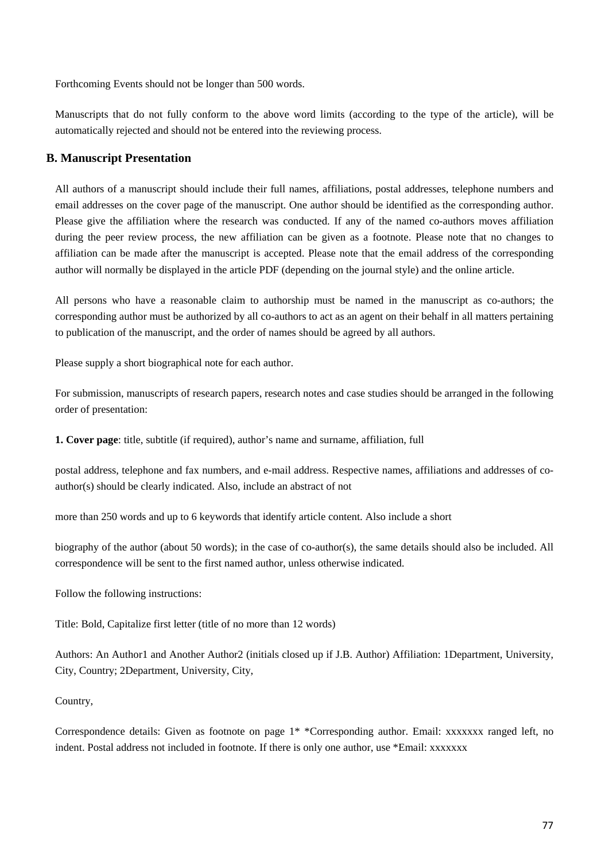Forthcoming Events should not be longer than 500 words.

Manuscripts that do not fully conform to the above word limits (according to the type of the article), will be automatically rejected and should not be entered into the reviewing process.

## **B. Manuscript Presentation**

All authors of a manuscript should include their full names, affiliations, postal addresses, telephone numbers and email addresses on the cover page of the manuscript. One author should be identified as the corresponding author. Please give the affiliation where the research was conducted. If any of the named co-authors moves affiliation during the peer review process, the new affiliation can be given as a footnote. Please note that no changes to affiliation can be made after the manuscript is accepted. Please note that the email address of the corresponding author will normally be displayed in the article PDF (depending on the journal style) and the online article.

All persons who have a reasonable claim to authorship must be named in the manuscript as co-authors; the corresponding author must be authorized by all co-authors to act as an agent on their behalf in all matters pertaining to publication of the manuscript, and the order of names should be agreed by all authors.

Please supply a short biographical note for each author.

For submission, manuscripts of research papers, research notes and case studies should be arranged in the following order of presentation:

**1. Cover page**: title, subtitle (if required), author's name and surname, affiliation, full

postal address, telephone and fax numbers, and e-mail address. Respective names, affiliations and addresses of coauthor(s) should be clearly indicated. Also, include an abstract of not

more than 250 words and up to 6 keywords that identify article content. Also include a short

biography of the author (about 50 words); in the case of co-author(s), the same details should also be included. All correspondence will be sent to the first named author, unless otherwise indicated.

Follow the following instructions:

Title: Bold, Capitalize first letter (title of no more than 12 words)

Authors: An Author1 and Another Author2 (initials closed up if J.B. Author) Affiliation: 1Department, University, City, Country; 2Department, University, City,

#### Country,

Correspondence details: Given as footnote on page 1\* \*Corresponding author. Email: xxxxxxx ranged left, no indent. Postal address not included in footnote. If there is only one author, use \*Email: xxxxxxx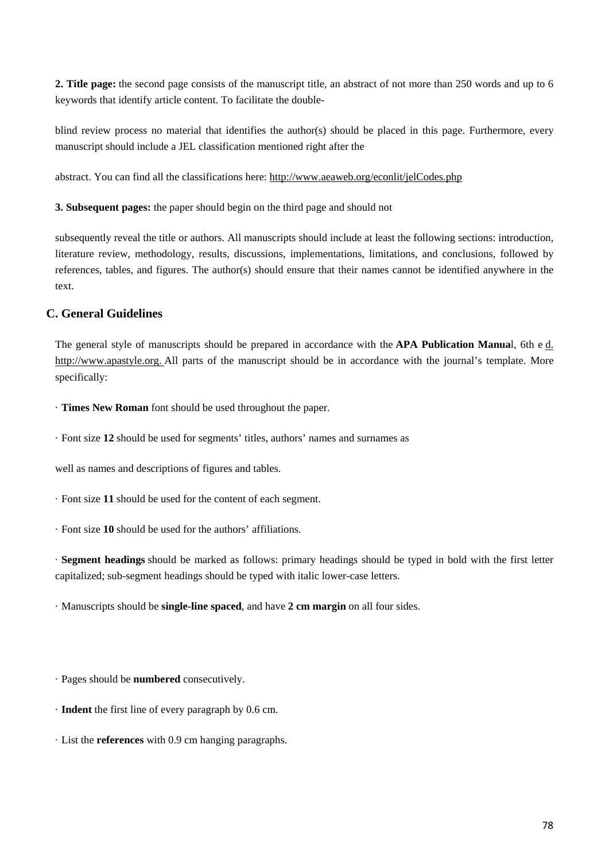**2. Title page:** the second page consists of the manuscript title, an abstract of not more than 250 words and up to 6 keywords that identify article content. To facilitate the double-

blind review process no material that identifies the author(s) should be placed in this page. Furthermore, every manuscript should include a JEL classification mentioned right after the

abstract. You can find all the classifications here: <http://www.aeaweb.org/econlit/jelCodes.php>

**3. Subsequent pages:** the paper should begin on the third page and should not

subsequently reveal the title or authors. All manuscripts should include at least the following sections: introduction, literature review, methodology, results, discussions, implementations, limitations, and conclusions, followed by references, tables, and figures. The author(s) should ensure that their names cannot be identified anywhere in the text.

## **C. General Guidelines**

The general style of manuscripts should be prepared in accordance with the **APA Publication Manua**l, 6th e [d.](http://www.apastyle.org/) [http://www.apastyle.org.](http://www.apastyle.org/) All parts of the manuscript should be in accordance with the journal's template. More specifically:

· **Times New Roman** font should be used throughout the paper.

· Font size **12** should be used for segments' titles, authors' names and surnames as

well as names and descriptions of figures and tables.

- · Font size **11** should be used for the content of each segment.
- · Font size **10** should be used for the authors' affiliations.

· **Segment headings** should be marked as follows: primary headings should be typed in bold with the first letter capitalized; sub-segment headings should be typed with italic lower-case letters.

· Manuscripts should be **single-line spaced**, and have **2 cm margin** on all four sides.

· Pages should be **numbered** consecutively.

- · **Indent** the first line of every paragraph by 0.6 cm.
- · List the **references** with 0.9 cm hanging paragraphs.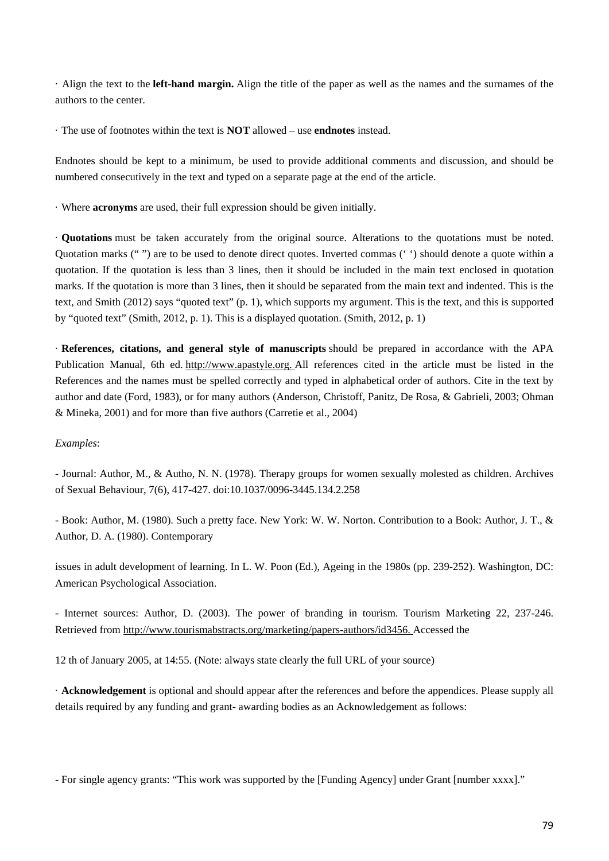· Align the text to the **left-hand margin.** Align the title of the paper as well as the names and the surnames of the authors to the center.

· The use of footnotes within the text is **NOT** allowed – use **endnotes** instead.

Endnotes should be kept to a minimum, be used to provide additional comments and discussion, and should be numbered consecutively in the text and typed on a separate page at the end of the article.

· Where **acronyms** are used, their full expression should be given initially.

· **Quotations** must be taken accurately from the original source. Alterations to the quotations must be noted. Quotation marks (" ") are to be used to denote direct quotes. Inverted commas (' ') should denote a quote within a quotation. If the quotation is less than 3 lines, then it should be included in the main text enclosed in quotation marks. If the quotation is more than 3 lines, then it should be separated from the main text and indented. This is the text, and Smith (2012) says "quoted text" (p. 1), which supports my argument. This is the text, and this is supported by "quoted text" (Smith, 2012, p. 1). This is a displayed quotation. (Smith, 2012, p. 1)

· **References, citations, and general style of manuscripts** should be prepared in accordance with the APA Publication Manual, 6th ed. [http://www.apastyle.org.](http://www.apastyle.org/) All references cited in the article must be listed in the References and the names must be spelled correctly and typed in alphabetical order of authors. Cite in the text by author and date (Ford, 1983), or for many authors (Anderson, Christoff, Panitz, De Rosa, & Gabrieli, 2003; Ohman & Mineka, 2001) and for more than five authors (Carretie et al., 2004)

#### *Examples*:

- Journal: Author, M., & Autho, N. N. (1978). Therapy groups for women sexually molested as children. Archives of Sexual Behaviour, 7(6), 417-427. doi:10.1037/0096-3445.134.2.258

- Book: Author, M. (1980). Such a pretty face. New York: W. W. Norton. Contribution to a Book: Author, J. T., & Author, D. A. (1980). Contemporary

issues in adult development of learning. In L. W. Poon (Ed.), Ageing in the 1980s (pp. 239-252). Washington, DC: American Psychological Association.

- Internet sources: Author, D. (2003). The power of branding in tourism. Tourism Marketing 22, 237-246. Retrieved from [http://www.tourismabstracts.org/marketing/papers-authors/id3456.](http://www.tourismabstracts.org/marketing/papers-authors/id3456) Accessed the

12 th of January 2005, at 14:55. (Note: always state clearly the full URL of your source)

· **Acknowledgement** is optional and should appear after the references and before the appendices. Please supply all details required by any funding and grant- awarding bodies as an Acknowledgement as follows:

- For single agency grants: "This work was supported by the [Funding Agency] under Grant [number xxxx]."